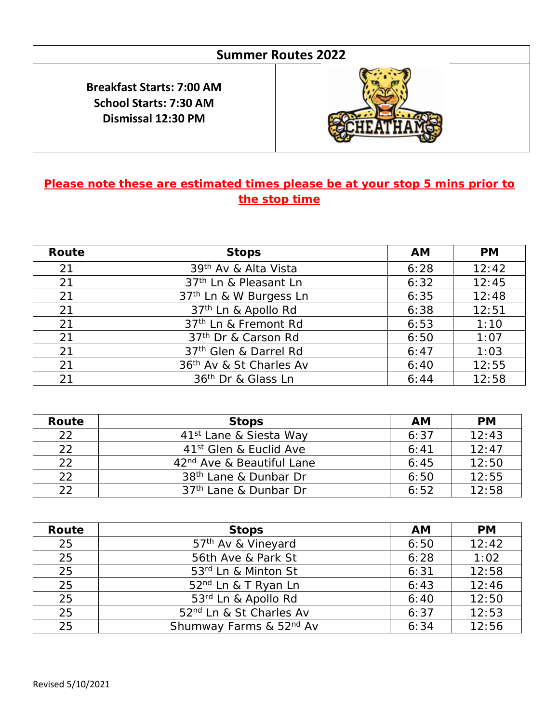## **Summer Routes 2022**

**Breakfast Starts: 7:00 AM School Starts: 7:30 AM Dismissal 12:30 PM**



## **Please note these are estimated times please be at your stop 5 mins prior to the stop time**

| Route | <b>Stops</b>                       | <b>AM</b> | <b>PM</b> |
|-------|------------------------------------|-----------|-----------|
| 21    | 39 <sup>th</sup> Av & Alta Vista   | 6:28      | 12:42     |
| 21    | 37 <sup>th</sup> Ln & Pleasant Ln  | 6:32      | 12:45     |
| 21    | 37 <sup>th</sup> Ln & W Burgess Ln | 6:35      | 12:48     |
| 21    | 37 <sup>th</sup> Ln & Apollo Rd    | 6:38      | 12:51     |
| 21    | 37 <sup>th</sup> Ln & Fremont Rd   | 6:53      | 1:10      |
| 21    | 37 <sup>th</sup> Dr & Carson Rd    | 6:50      | 1:07      |
| 21    | 37th Glen & Darrel Rd              | 6:47      | 1:03      |
| 21    | 36th Av & St Charles Av            | 6:40      | 12:55     |
| 21    | 36 <sup>th</sup> Dr & Glass Ln     | 6:44      | 12:58     |

| Route | <b>Stops</b>                          | AM   | <b>PM</b> |
|-------|---------------------------------------|------|-----------|
| 22    | 41 <sup>st</sup> Lane & Siesta Way    | 6:37 | 12:43     |
| 22    | 41 <sup>st</sup> Glen & Euclid Ave    | 6:41 | 12:47     |
| つつ    | 42 <sup>nd</sup> Ave & Beautiful Lane | 6:45 | 12:50     |
| 22    | 38 <sup>th</sup> Lane & Dunbar Dr     | 6:50 | 12:55     |
| つつ    | 37 <sup>th</sup> Lane & Dunbar Dr     | 6:52 | 12:58     |

| Route | <b>Stops</b>                        | <b>AM</b> | <b>PM</b> |
|-------|-------------------------------------|-----------|-----------|
| 25    | 57 <sup>th</sup> Av & Vineyard      | 6:50      | 12:42     |
| 25    | 56th Ave & Park St                  | 6:28      | 1:02      |
| 25    | 53rd Ln & Minton St                 | 6:31      | 12:58     |
| 25    | 52 <sup>nd</sup> Ln & T Ryan Ln     | 6:43      | 12:46     |
| 25    | 53rd Ln & Apollo Rd                 | 6:40      | 12:50     |
| 25    | 52 <sup>nd</sup> Ln & St Charles Av | 6:37      | 12:53     |
| 25    | Shumway Farms & 52nd Av             | 6:34      | 12:56     |